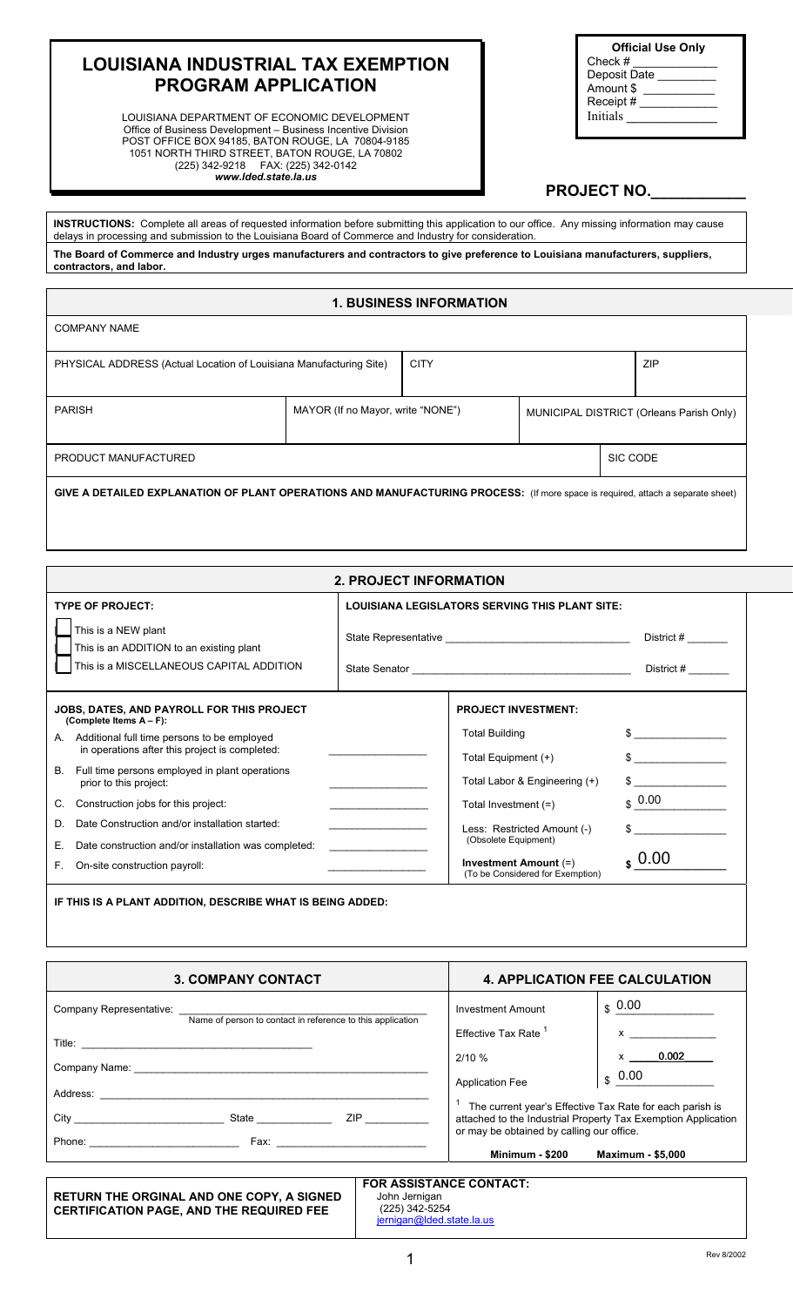## **LOUISIANA INDUSTRIAL TAX EXEMPTION PROGRAM APPLICATION**

LOUISIANA DEPARTMENT OF ECONOMIC DEVELOPMENT Office of Business Development – Business Incentive Division POST OFFICE BOX 94185, BATON ROUGE, LA 70804-9185 1051 NORTH THIRD STREET, BATON ROUGE, LA 70802 (225) 342-9218 FAX: (225) 342-0142 *www.lded.state.la.us* 

| <b>Official Use Only</b> |  |  |
|--------------------------|--|--|
| Check $#$                |  |  |
| Deposit Date             |  |  |
| Amount \$                |  |  |
| Receipt#                 |  |  |
| <b>Initials</b>          |  |  |
|                          |  |  |

## PROJECT NO.

**INSTRUCTIONS:** Complete all areas of requested information before submitting this application to our office. Any missing information may cause delays in processing and submission to the Louisiana Board of Commerce and Industry for consideration. **The Board of Commerce and Industry urges manufacturers and contractors to give preference to Louisiana manufacturers, suppliers, contractors, and labor.** 

#### **1. BUSINESS INFORMATION**

| <b>COMPANY NAME</b>                                                                                                             |                                   |             |                                          |  |            |
|---------------------------------------------------------------------------------------------------------------------------------|-----------------------------------|-------------|------------------------------------------|--|------------|
| PHYSICAL ADDRESS (Actual Location of Louisiana Manufacturing Site)                                                              |                                   | <b>CITY</b> |                                          |  | <b>ZIP</b> |
| <b>PARISH</b>                                                                                                                   | MAYOR (If no Mayor, write "NONE") |             | MUNICIPAL DISTRICT (Orleans Parish Only) |  |            |
| SIC CODE<br>PRODUCT MANUFACTURED                                                                                                |                                   |             |                                          |  |            |
| GIVE A DETAILED EXPLANATION OF PLANT OPERATIONS AND MANUFACTURING PROCESS: (If more space is required, attach a separate sheet) |                                   |             |                                          |  |            |

| <b>2. PROJECT INFORMATION</b>                                                                       |                                                                             |                    |  |
|-----------------------------------------------------------------------------------------------------|-----------------------------------------------------------------------------|--------------------|--|
| <b>TYPE OF PROJECT:</b>                                                                             | <b>LOUISIANA LEGISLATORS SERVING THIS PLANT SITE:</b>                       |                    |  |
| This is a NEW plant<br>This is an ADDITION to an existing plant                                     |                                                                             |                    |  |
| This is a MISCELLANEOUS CAPITAL ADDITION                                                            |                                                                             |                    |  |
| JOBS, DATES, AND PAYROLL FOR THIS PROJECT<br>(Complete Items A - F):                                | <b>PROJECT INVESTMENT:</b>                                                  |                    |  |
| Additional full time persons to be employed<br>А.<br>in operations after this project is completed: | <b>Total Building</b><br>Total Equipment (+)                                | $\frac{1}{2}$      |  |
| Full time persons employed in plant operations<br>В.<br>prior to this project:                      | Total Labor & Engineering (+)                                               | $\sim$ $\sim$      |  |
| Construction jobs for this project:<br>C.                                                           | Total Investment $(=)$                                                      | $\frac{1}{2}$ 0.00 |  |
| Date Construction and/or installation started:<br>D.                                                | the control of the control of the control of<br>Less: Restricted Amount (-) | $\sim$             |  |
| Е.<br>Date construction and/or installation was completed:                                          | (Obsolete Equipment)                                                        |                    |  |
| E.<br>On-site construction payroll:                                                                 | Investment Amount (=)<br>(To be Considered for Exemption)                   | $\binom{100}{5}$   |  |
| IF THIS IS A PLANT ADDITION, DESCRIBE WHAT IS BEING ADDED:                                          |                                                                             |                    |  |

| <b>3. COMPANY CONTACT</b>                                                                                                                                                                                                                                                                                                                       | <b>4. APPLICATION FEE CALCULATION</b>                                                                                                                                                                                        |  |  |
|-------------------------------------------------------------------------------------------------------------------------------------------------------------------------------------------------------------------------------------------------------------------------------------------------------------------------------------------------|------------------------------------------------------------------------------------------------------------------------------------------------------------------------------------------------------------------------------|--|--|
| Company Representative: Company Representative:<br>Name of person to contact in reference to this application<br>Company Name: The Company Name: The Company Name: The Company Name: The Company Name: The Company Name: The Company Name: The Company Name: The Company Name: The Company Name: The Company Name: The Company Of the Company N | $\boldsymbol{\mathsf{s}}$ 0.00<br><b>Investment Amount</b><br><b>Fffective Tax Rate</b><br>0.002<br>$\mathsf{x}$ and $\mathsf{y}$<br>2/10%<br>$\frac{1}{3}$ 0.00<br><b>Application Fee</b>                                   |  |  |
| City<br><b>State Example</b><br>ZIP <b>Example 20</b>                                                                                                                                                                                                                                                                                           | The current year's Effective Tax Rate for each parish is<br>attached to the Industrial Property Tax Exemption Application<br>or may be obtained by calling our office.<br><b>Minimum - \$200</b><br><b>Maximum - \$5,000</b> |  |  |

|                                                                                                     | <b>FOR ASSISTANCE CONTACT:</b>                               |
|-----------------------------------------------------------------------------------------------------|--------------------------------------------------------------|
| <b>RETURN THE ORGINAL AND ONE COPY, A SIGNED</b><br><b>CERTIFICATION PAGE. AND THE REQUIRED FEE</b> | John Jernigan<br>(225) 342-5254<br>jernigan@lded.state.la.us |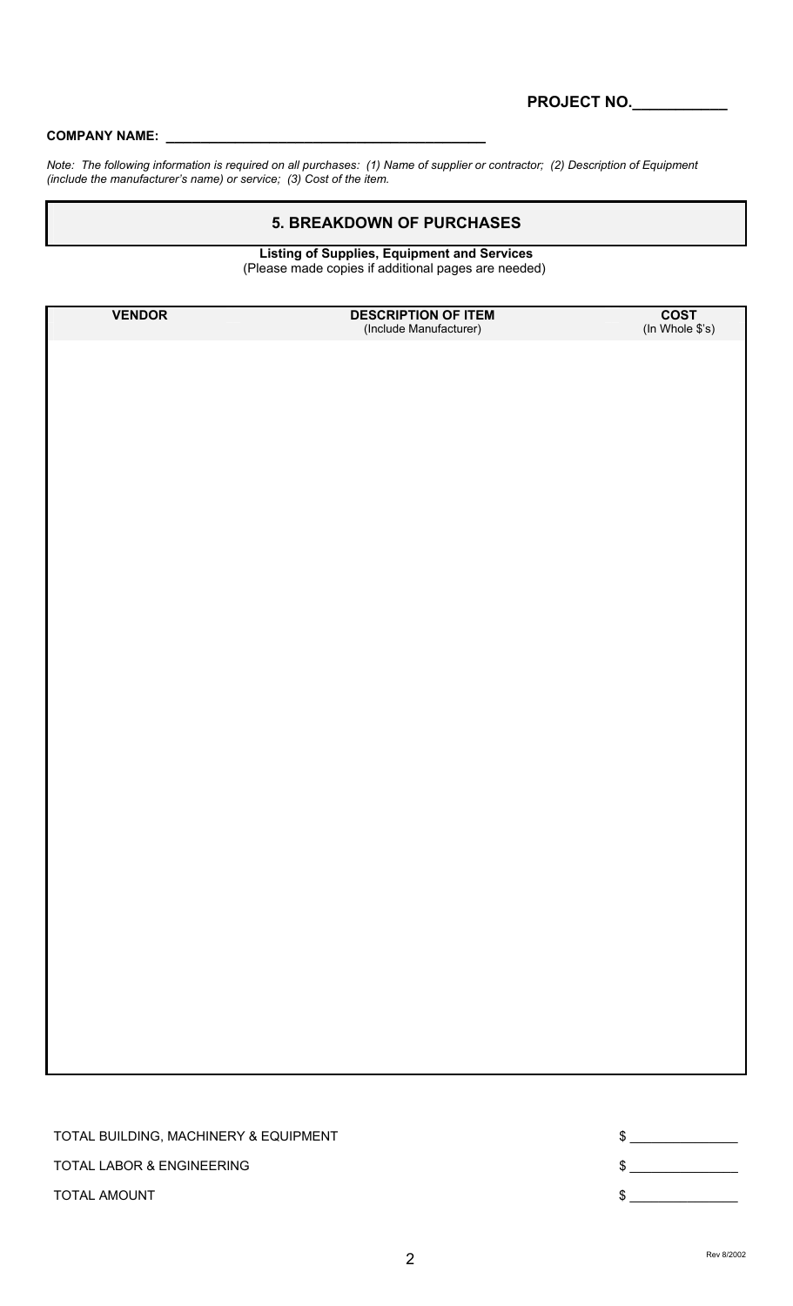#### COMPANY NAME:

*Note: The following information is required on all purchases: (1) Name of supplier or contractor; (2) Description of Equipment (include the manufacturer's name) or service; (3) Cost of the item.* 

### **5. BREAKDOWN OF PURCHASES**

 **Listing of Supplies, Equipment and Services**  (Please made copies if additional pages are needed)

**VENDOR DESCRIPTION OF ITEM COST**<br>(Include Manufacturer) (In Whole \$'s) (Include Manufacturer)

TOTAL BUILDING, MACHINERY & EQUIPMENT  $\text{S}$ TOTAL LABOR & ENGINEERING  $\text{S}$ TOTAL AMOUNT  $\qquad \qquad \mathfrak{s}_{\perp}$